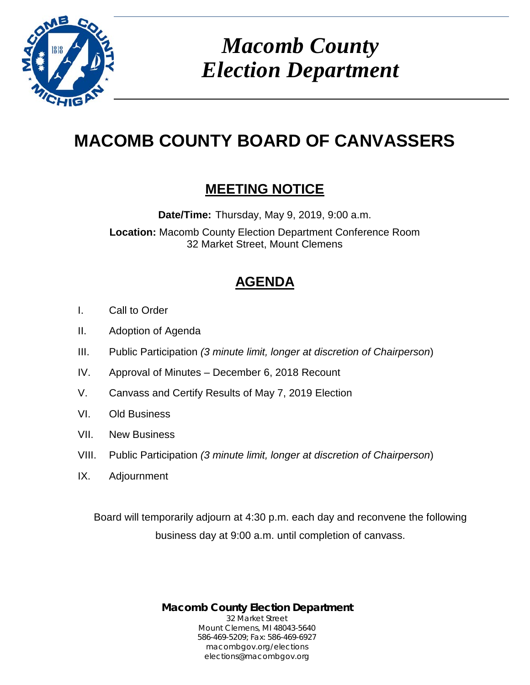

*Macomb County Election Department*

# **MACOMB COUNTY BOARD OF CANVASSERS**

# **MEETING NOTICE**

**Date/Time:** Thursday, May 9, 2019, 9:00 a.m.

**Location:** Macomb County Election Department Conference Room 32 Market Street, Mount Clemens

# **AGENDA**

- I. Call to Order
- II. Adoption of Agenda
- III. Public Participation *(3 minute limit, longer at discretion of Chairperson*)
- IV. Approval of Minutes December 6, 2018 Recount
- V. Canvass and Certify Results of May 7, 2019 Election
- VI. Old Business
- VII. New Business
- VIII. Public Participation *(3 minute limit, longer at discretion of Chairperson*)
- IX. Adjournment

Board will temporarily adjourn at 4:30 p.m. each day and reconvene the following business day at 9:00 a.m. until completion of canvass.

> **Macomb County Election Department** 32 Market Street Mount Clemens, MI 48043-5640 586-469-5209; Fax: 586-469-6927 macombgov.org/elections elections@macombgov.org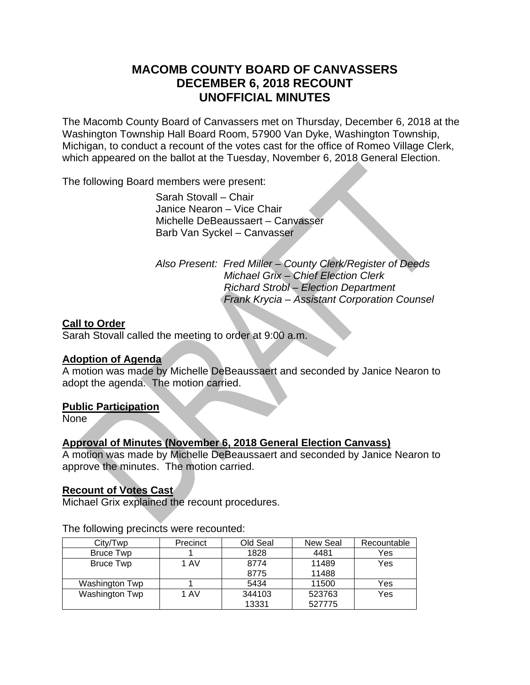# **MACOMB COUNTY BOARD OF CANVASSERS DECEMBER 6, 2018 RECOUNT UNOFFICIAL MINUTES**

The Macomb County Board of Canvassers met on Thursday, December 6, 2018 at the Washington Township Hall Board Room, 57900 Van Dyke, Washington Township, Michigan, to conduct a recount of the votes cast for the office of Romeo Village Clerk, which appeared on the ballot at the Tuesday, November 6, 2018 General Election.

The following Board members were present:

 Sarah Stovall – Chair Janice Nearon – Vice Chair Michelle DeBeaussaert – Canvasser Barb Van Syckel – Canvasser

 *Also Present: Fred Miller – County Clerk/Register of Deeds Michael Grix – Chief Election Clerk Richard Strobl – Election Department Frank Krycia – Assistant Corporation Counsel* 

## **Call to Order**

Sarah Stovall called the meeting to order at 9:00 a.m.

## **Adoption of Agenda**

A motion was made by Michelle DeBeaussaert and seconded by Janice Nearon to adopt the agenda. The motion carried.

## **Public Participation**

None

# **Approval of Minutes (November 6, 2018 General Election Canvass)**

A motion was made by Michelle DeBeaussaert and seconded by Janice Nearon to approve the minutes. The motion carried.

#### **Recount of Votes Cast**

Michael Grix explained the recount procedures.

| City/Twp         | Precinct | Old Seal | New Seal | Recountable |
|------------------|----------|----------|----------|-------------|
| <b>Bruce Twp</b> |          | 1828     | 4481     | Yes         |
| <b>Bruce Twp</b> | 1 AV     | 8774     | 11489    | Yes         |
|                  |          | 8775     | 11488    |             |
| Washington Twp   |          | 5434     | 11500    | Yes         |
| Washington Twp   | 1 AV     | 344103   | 523763   | Yes         |
|                  |          | 13331    | 527775   |             |

The following precincts were recounted: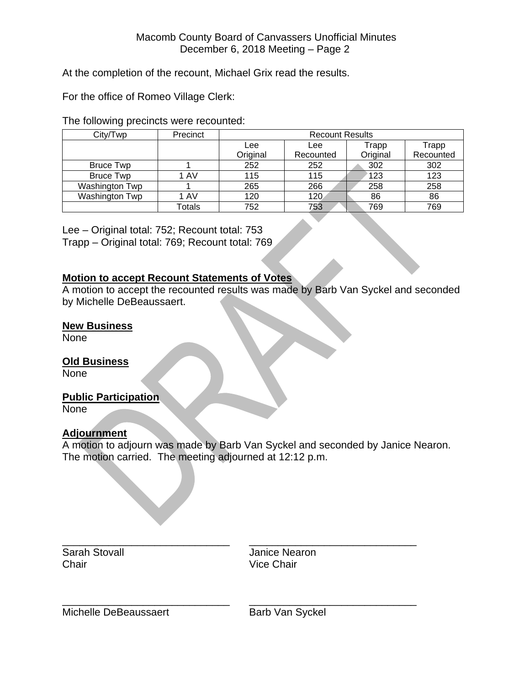At the completion of the recount, Michael Grix read the results.

For the office of Romeo Village Clerk:

The following precincts were recounted:

| City/Twp         | Precinct | <b>Recount Results</b> |           |          |           |  |
|------------------|----------|------------------------|-----------|----------|-----------|--|
|                  |          | Lee                    | Lee       | Trapp    | Trapp     |  |
|                  |          | Original               | Recounted | Original | Recounted |  |
| <b>Bruce Twp</b> |          | 252                    | 252       | 302      | 302       |  |
| <b>Bruce Twp</b> | 1 AV     | 115                    | 115       | 123      | 123       |  |
| Washington Twp   |          | 265                    | 266       | 258      | 258       |  |
| Washington Twp   | 1 AV     | 120                    | 120       | 86       | 86        |  |
|                  | Totals   | 752                    | 753       | 769      | 769       |  |

Lee – Original total: 752; Recount total: 753 Trapp – Original total: 769; Recount total: 769

#### **Motion to accept Recount Statements of Votes**

A motion to accept the recounted results was made by Barb Van Syckel and seconded by Michelle DeBeaussaert.

#### **New Business**

None

#### **Old Business**

None

#### **Public Participation**

None

# **Adjournment**

A motion to adjourn was made by Barb Van Syckel and seconded by Janice Nearon. The motion carried. The meeting adjourned at 12:12 p.m.

\_\_\_\_\_\_\_\_\_\_\_\_\_\_\_\_\_\_\_\_\_\_\_\_\_\_\_\_\_ \_\_\_\_\_\_\_\_\_\_\_\_\_\_\_\_\_\_\_\_\_\_\_\_\_\_\_\_\_ Chair **Vice Chair** 

Sarah Stovall **Sarah Stovall** Janice Nearon

\_\_\_\_\_\_\_\_\_\_\_\_\_\_\_\_\_\_\_\_\_\_\_\_\_\_\_\_\_ \_\_\_\_\_\_\_\_\_\_\_\_\_\_\_\_\_\_\_\_\_\_\_\_\_\_\_\_\_ Michelle DeBeaussaert Barb Van Syckel